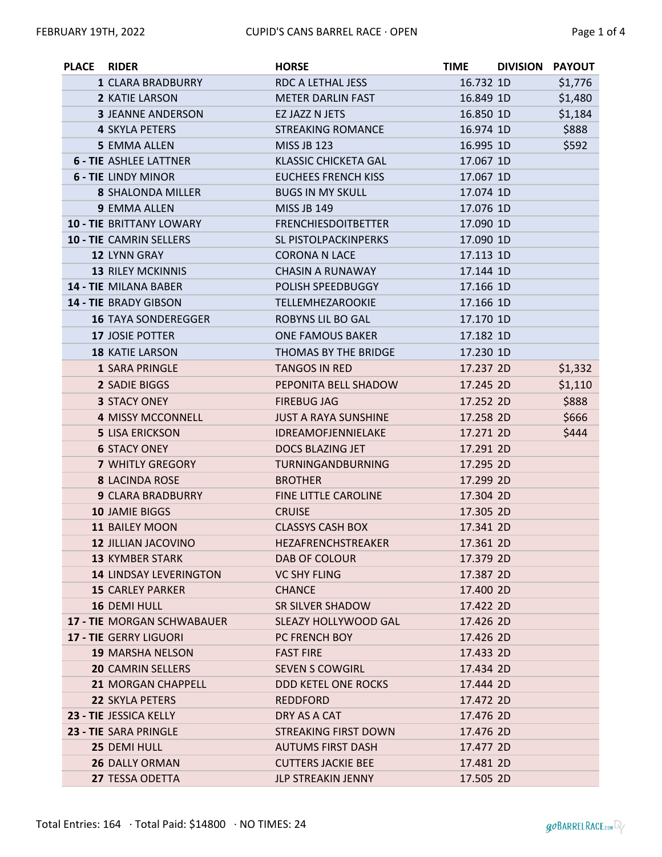| <b>PLACE</b> | <b>RIDER</b>                      | <b>HORSE</b>                | TIME      | DIVISION PAYOUT |         |
|--------------|-----------------------------------|-----------------------------|-----------|-----------------|---------|
|              | 1 CLARA BRADBURRY                 | RDC A LETHAL JESS           | 16.732 1D |                 | \$1,776 |
|              | 2 KATIE LARSON                    | <b>METER DARLIN FAST</b>    | 16.849 1D |                 | \$1,480 |
|              | <b>3 JEANNE ANDERSON</b>          | EZ JAZZ N JETS              | 16.850 1D |                 | \$1,184 |
|              | <b>4 SKYLA PETERS</b>             | <b>STREAKING ROMANCE</b>    | 16.974 1D |                 | \$888   |
|              | <b>5 EMMA ALLEN</b>               | <b>MISS JB 123</b>          | 16.995 1D |                 | \$592   |
|              | <b>6 - TIE ASHLEE LATTNER</b>     | <b>KLASSIC CHICKETA GAL</b> | 17.067 1D |                 |         |
|              | <b>6 - TIE LINDY MINOR</b>        | <b>EUCHEES FRENCH KISS</b>  | 17.067 1D |                 |         |
|              | <b>8 SHALONDA MILLER</b>          | <b>BUGS IN MY SKULL</b>     | 17.074 1D |                 |         |
|              | 9 EMMA ALLEN                      | <b>MISS JB 149</b>          | 17.076 1D |                 |         |
|              | <b>10 - TIE BRITTANY LOWARY</b>   | <b>FRENCHIESDOITBETTER</b>  | 17.090 1D |                 |         |
|              | 10 - TIE CAMRIN SELLERS           | SL PISTOLPACKINPERKS        | 17.090 1D |                 |         |
|              | 12 LYNN GRAY                      | <b>CORONA N LACE</b>        | 17.113 1D |                 |         |
|              | <b>13 RILEY MCKINNIS</b>          | <b>CHASIN A RUNAWAY</b>     | 17.144 1D |                 |         |
|              | <b>14 - TIE MILANA BABER</b>      | POLISH SPEEDBUGGY           | 17.166 1D |                 |         |
|              | 14 - TIE BRADY GIBSON             | TELLEMHEZAROOKIE            | 17.166 1D |                 |         |
|              | <b>16 TAYA SONDEREGGER</b>        | ROBYNS LIL BO GAL           | 17.170 1D |                 |         |
|              | 17 JOSIE POTTER                   | <b>ONE FAMOUS BAKER</b>     | 17.182 1D |                 |         |
|              | <b>18 KATIE LARSON</b>            | THOMAS BY THE BRIDGE        | 17.230 1D |                 |         |
|              | <b>1 SARA PRINGLE</b>             | <b>TANGOS IN RED</b>        | 17.237 2D |                 | \$1,332 |
|              | 2 SADIE BIGGS                     | PEPONITA BELL SHADOW        | 17.245 2D |                 | \$1,110 |
|              | <b>3 STACY ONEY</b>               | <b>FIREBUG JAG</b>          | 17.252 2D |                 | \$888   |
|              | <b>4 MISSY MCCONNELL</b>          | <b>JUST A RAYA SUNSHINE</b> | 17.258 2D |                 | \$666   |
|              | <b>5 LISA ERICKSON</b>            | IDREAMOFJENNIELAKE          | 17.271 2D |                 | \$444   |
|              | <b>6 STACY ONEY</b>               | DOCS BLAZING JET            | 17.291 2D |                 |         |
|              | <b>7 WHITLY GREGORY</b>           | TURNINGANDBURNING           | 17.295 2D |                 |         |
|              | <b>8 LACINDA ROSE</b>             | <b>BROTHER</b>              | 17.299 2D |                 |         |
|              | <b>9 CLARA BRADBURRY</b>          | FINE LITTLE CAROLINE        | 17.304 2D |                 |         |
|              | 10 JAMIE BIGGS                    | <b>CRUISE</b>               | 17.305 2D |                 |         |
|              | <b>11 BAILEY MOON</b>             | <b>CLASSYS CASH BOX</b>     | 17.341 2D |                 |         |
|              | 12 JILLIAN JACOVINO               | HEZAFRENCHSTREAKER          | 17.361 2D |                 |         |
|              | <b>13 KYMBER STARK</b>            | DAB OF COLOUR               | 17.379 2D |                 |         |
|              | <b>14 LINDSAY LEVERINGTON</b>     | <b>VC SHY FLING</b>         | 17.387 2D |                 |         |
|              | <b>15 CARLEY PARKER</b>           | <b>CHANCE</b>               | 17.400 2D |                 |         |
|              | 16 DEMI HULL                      | SR SILVER SHADOW            | 17.422 2D |                 |         |
|              | <b>17 - TIE MORGAN SCHWABAUER</b> | SLEAZY HOLLYWOOD GAL        | 17.426 2D |                 |         |
|              | <b>17 - TIE GERRY LIGUORI</b>     | PC FRENCH BOY               | 17.426 2D |                 |         |
|              | <b>19 MARSHA NELSON</b>           | <b>FAST FIRE</b>            | 17.433 2D |                 |         |
|              | <b>20 CAMRIN SELLERS</b>          | <b>SEVEN S COWGIRL</b>      | 17.434 2D |                 |         |
|              | <b>21 MORGAN CHAPPELL</b>         | DDD KETEL ONE ROCKS         | 17.444 2D |                 |         |
|              | <b>22 SKYLA PETERS</b>            | <b>REDDFORD</b>             | 17.472 2D |                 |         |
|              | 23 - TIE JESSICA KELLY            | DRY AS A CAT                | 17.476 2D |                 |         |
|              | 23 - TIE SARA PRINGLE             | <b>STREAKING FIRST DOWN</b> | 17.476 2D |                 |         |
|              | 25 DEMI HULL                      | <b>AUTUMS FIRST DASH</b>    | 17.477 2D |                 |         |
|              | 26 DALLY ORMAN                    | <b>CUTTERS JACKIE BEE</b>   | 17.481 2D |                 |         |
|              | 27 TESSA ODETTA                   | JLP STREAKIN JENNY          | 17.505 2D |                 |         |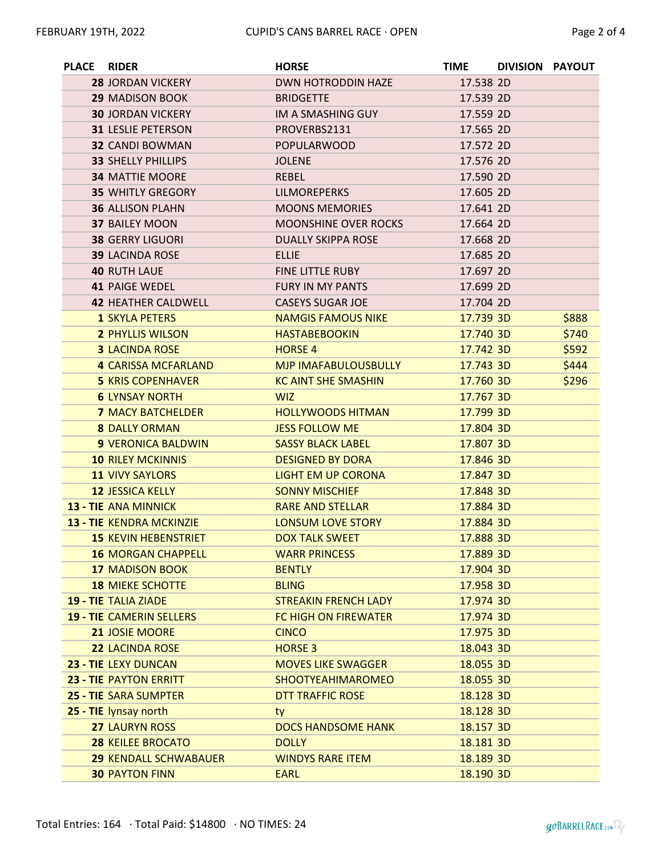| <b>PLACE</b> | <b>RIDER</b>                    | <b>HORSE</b>                | <b>TIME</b> | DIVISION PAYOUT |       |
|--------------|---------------------------------|-----------------------------|-------------|-----------------|-------|
|              | <b>28 JORDAN VICKERY</b>        | <b>DWN HOTRODDIN HAZE</b>   | 17.538 2D   |                 |       |
|              | <b>29 MADISON BOOK</b>          | <b>BRIDGETTE</b>            | 17.539 2D   |                 |       |
|              | <b>30 JORDAN VICKERY</b>        | IM A SMASHING GUY           | 17.559 2D   |                 |       |
|              | <b>31 LESLIE PETERSON</b>       | PROVERBS2131                | 17.565 2D   |                 |       |
|              | <b>32 CANDI BOWMAN</b>          | <b>POPULARWOOD</b>          | 17.572 2D   |                 |       |
|              | <b>33 SHELLY PHILLIPS</b>       | <b>JOLENE</b>               | 17.576 2D   |                 |       |
|              | <b>34 MATTIE MOORE</b>          | <b>REBEL</b>                | 17.590 2D   |                 |       |
|              | <b>35 WHITLY GREGORY</b>        | <b>LILMOREPERKS</b>         | 17.605 2D   |                 |       |
|              | <b>36 ALLISON PLAHN</b>         | <b>MOONS MEMORIES</b>       | 17.641 2D   |                 |       |
|              | <b>37 BAILEY MOON</b>           | <b>MOONSHINE OVER ROCKS</b> | 17.664 2D   |                 |       |
|              | <b>38 GERRY LIGUORI</b>         | <b>DUALLY SKIPPA ROSE</b>   | 17.668 2D   |                 |       |
|              | <b>39 LACINDA ROSE</b>          | <b>ELLIE</b>                | 17.685 2D   |                 |       |
|              | <b>40 RUTH LAUE</b>             | <b>FINE LITTLE RUBY</b>     | 17.697 2D   |                 |       |
|              | <b>41 PAIGE WEDEL</b>           | <b>FURY IN MY PANTS</b>     | 17.699 2D   |                 |       |
|              | <b>42 HEATHER CALDWELL</b>      | <b>CASEYS SUGAR JOE</b>     | 17.704 2D   |                 |       |
|              | <b>1 SKYLA PETERS</b>           | <b>NAMGIS FAMOUS NIKE</b>   | 17.739 3D   |                 | \$888 |
|              | <b>2 PHYLLIS WILSON</b>         | <b>HASTABEBOOKIN</b>        | 17.740 3D   |                 | \$740 |
|              | <b>3 LACINDA ROSE</b>           | <b>HORSE 4</b>              | 17.742 3D   |                 | \$592 |
|              | <b>4 CARISSA MCFARLAND</b>      | <b>MJP IMAFABULOUSBULLY</b> | 17.743 3D   |                 | \$444 |
|              | <b>5 KRIS COPENHAVER</b>        | <b>KC AINT SHE SMASHIN</b>  | 17.760 3D   |                 | \$296 |
|              | <b>6 LYNSAY NORTH</b>           | <b>WIZ</b>                  | 17.767 3D   |                 |       |
|              | <b>7 MACY BATCHELDER</b>        | <b>HOLLYWOODS HITMAN</b>    | 17.799 3D   |                 |       |
|              | <b>8 DALLY ORMAN</b>            | <b>JESS FOLLOW ME</b>       | 17.804 3D   |                 |       |
|              | <b>9 VERONICA BALDWIN</b>       | <b>SASSY BLACK LABEL</b>    | 17.807 3D   |                 |       |
|              | <b>10 RILEY MCKINNIS</b>        | <b>DESIGNED BY DORA</b>     | 17.846 3D   |                 |       |
|              | <b>11 VIVY SAYLORS</b>          | <b>LIGHT EM UP CORONA</b>   | 17.847 3D   |                 |       |
|              | <b>12 JESSICA KELLY</b>         | <b>SONNY MISCHIEF</b>       | 17.848 3D   |                 |       |
|              | <b>13 - TIE ANA MINNICK</b>     | <b>RARE AND STELLAR</b>     | 17.884 3D   |                 |       |
|              | 13 - TIE KENDRA MCKINZIE        | <b>LONSUM LOVE STORY</b>    | 17.884 3D   |                 |       |
|              | <b>15 KEVIN HEBENSTRIET</b>     | <b>DOX TALK SWEET</b>       | 17.888 3D   |                 |       |
|              | <b>16 MORGAN CHAPPELL</b>       | <b>WARR PRINCESS</b>        | 17.889 3D   |                 |       |
|              | <b>17 MADISON BOOK</b>          | <b>BENTLY</b>               | 17.904 3D   |                 |       |
|              | <b>18 MIEKE SCHOTTE</b>         | <b>BLING</b>                | 17.958 3D   |                 |       |
|              | <b>19 - TIE TALIA ZIADE</b>     | <b>STREAKIN FRENCH LADY</b> | 17.974 3D   |                 |       |
|              | <b>19 - TIE CAMERIN SELLERS</b> | <b>FC HIGH ON FIREWATER</b> | 17.974 3D   |                 |       |
|              | 21 JOSIE MOORE                  | <b>CINCO</b>                | 17.975 3D   |                 |       |
|              | <b>22 LACINDA ROSE</b>          | <b>HORSE 3</b>              | 18.043 3D   |                 |       |
|              | <b>23 - TIE LEXY DUNCAN</b>     | <b>MOVES LIKE SWAGGER</b>   | 18.055 3D   |                 |       |
|              | 23 - TIE PAYTON ERRITT          | <b>SHOOTYEAHIMAROMEO</b>    | 18.055 3D   |                 |       |
|              | <b>25 - TIE SARA SUMPTER</b>    | DTT TRAFFIC ROSE            | 18.128 3D   |                 |       |
|              | 25 - TIE lynsay north           | ty                          | 18.128 3D   |                 |       |
|              | <b>27 LAURYN ROSS</b>           | <b>DOCS HANDSOME HANK</b>   | 18.157 3D   |                 |       |
|              | <b>28 KEILEE BROCATO</b>        | <b>DOLLY</b>                | 18.181 3D   |                 |       |
|              | <b>29 KENDALL SCHWABAUER</b>    | <b>WINDYS RARE ITEM</b>     | 18.189 3D   |                 |       |
|              | <b>30 PAYTON FINN</b>           | <b>EARL</b>                 | 18.190 3D   |                 |       |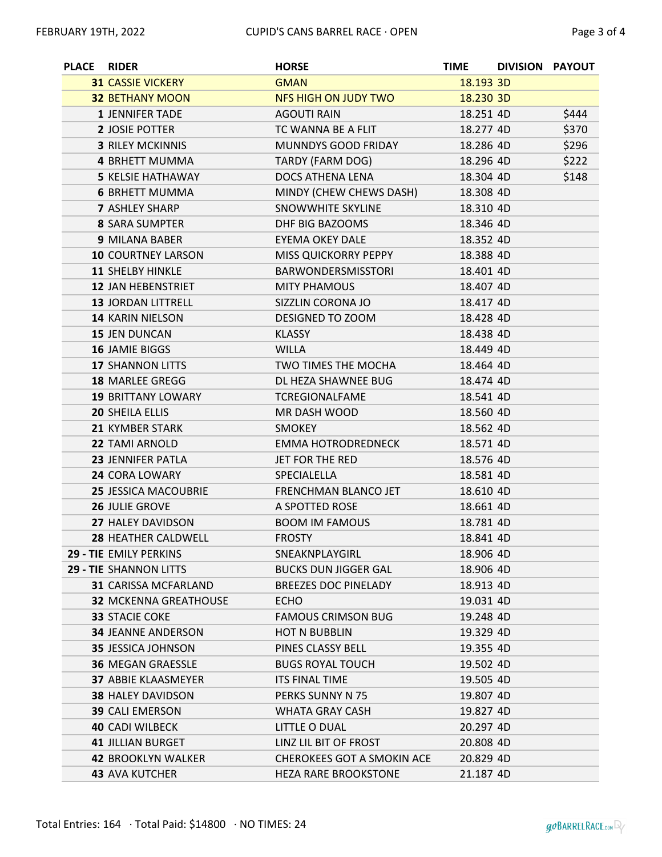| <b>PLACE</b> | <b>RIDER</b>                  | <b>HORSE</b>                      | <b>TIME</b> | DIVISION PAYOUT |       |
|--------------|-------------------------------|-----------------------------------|-------------|-----------------|-------|
|              | <b>31 CASSIE VICKERY</b>      | <b>GMAN</b>                       | 18.193 3D   |                 |       |
|              | <b>32 BETHANY MOON</b>        | <b>NFS HIGH ON JUDY TWO</b>       | 18.230 3D   |                 |       |
|              | <b>1 JENNIFER TADE</b>        | <b>AGOUTI RAIN</b>                | 18.251 4D   |                 | \$444 |
|              | 2 JOSIE POTTER                | TC WANNA BE A FLIT                | 18.277 4D   |                 | \$370 |
|              | <b>3 RILEY MCKINNIS</b>       | MUNNDYS GOOD FRIDAY               | 18.286 4D   |                 | \$296 |
|              | <b>4 BRHETT MUMMA</b>         | TARDY (FARM DOG)                  | 18.296 4D   |                 | \$222 |
|              | <b>5 KELSIE HATHAWAY</b>      | DOCS ATHENA LENA                  | 18.304 4D   |                 | \$148 |
|              | <b>6 BRHETT MUMMA</b>         | MINDY (CHEW CHEWS DASH)           | 18.308 4D   |                 |       |
|              | <b>7 ASHLEY SHARP</b>         | SNOWWHITE SKYLINE                 | 18.310 4D   |                 |       |
|              | <b>8 SARA SUMPTER</b>         | DHF BIG BAZOOMS                   | 18.346 4D   |                 |       |
|              | 9 MILANA BABER                | EYEMA OKEY DALE                   | 18.352 4D   |                 |       |
|              | <b>10 COURTNEY LARSON</b>     | MISS QUICKORRY PEPPY              | 18.388 4D   |                 |       |
|              | <b>11 SHELBY HINKLE</b>       | <b>BARWONDERSMISSTORI</b>         | 18.401 4D   |                 |       |
|              | <b>12 JAN HEBENSTRIET</b>     | <b>MITY PHAMOUS</b>               | 18.407 4D   |                 |       |
|              | 13 JORDAN LITTRELL            | SIZZLIN CORONA JO                 | 18.417 4D   |                 |       |
|              | <b>14 KARIN NIELSON</b>       | DESIGNED TO ZOOM                  | 18.428 4D   |                 |       |
|              | <b>15 JEN DUNCAN</b>          | <b>KLASSY</b>                     | 18.438 4D   |                 |       |
|              | <b>16 JAMIE BIGGS</b>         | <b>WILLA</b>                      | 18.449 4D   |                 |       |
|              | <b>17 SHANNON LITTS</b>       | TWO TIMES THE MOCHA               | 18.464 4D   |                 |       |
|              | <b>18 MARLEE GREGG</b>        | DL HEZA SHAWNEE BUG               | 18.474 4D   |                 |       |
|              | <b>19 BRITTANY LOWARY</b>     | <b>TCREGIONALFAME</b>             | 18.541 4D   |                 |       |
|              | <b>20 SHEILA ELLIS</b>        | MR DASH WOOD                      | 18.560 4D   |                 |       |
|              | <b>21 KYMBER STARK</b>        | <b>SMOKEY</b>                     | 18.562 4D   |                 |       |
|              | <b>22 TAMI ARNOLD</b>         | <b>EMMA HOTRODREDNECK</b>         | 18.571 4D   |                 |       |
|              | <b>23 JENNIFER PATLA</b>      | JET FOR THE RED                   | 18.576 4D   |                 |       |
|              | 24 CORA LOWARY                | SPECIALELLA                       | 18.581 4D   |                 |       |
|              | <b>25 JESSICA MACOUBRIE</b>   | FRENCHMAN BLANCO JET              | 18.610 4D   |                 |       |
|              | <b>26 JULIE GROVE</b>         | A SPOTTED ROSE                    | 18.661 4D   |                 |       |
|              | 27 HALEY DAVIDSON             | <b>BOOM IM FAMOUS</b>             | 18.781 4D   |                 |       |
|              | 28 HEATHER CALDWELL           | <b>FROSTY</b>                     | 18.841 4D   |                 |       |
|              | <b>29 - TIE EMILY PERKINS</b> | SNEAKNPLAYGIRL                    | 18.906 4D   |                 |       |
|              | <b>29 - TIE SHANNON LITTS</b> | <b>BUCKS DUN JIGGER GAL</b>       | 18.906 4D   |                 |       |
|              | <b>31 CARISSA MCFARLAND</b>   | BREEZES DOC PINELADY              | 18.913 4D   |                 |       |
|              | <b>32 MCKENNA GREATHOUSE</b>  | <b>ECHO</b>                       | 19.031 4D   |                 |       |
|              | <b>33 STACIE COKE</b>         | <b>FAMOUS CRIMSON BUG</b>         | 19.248 4D   |                 |       |
|              | <b>34 JEANNE ANDERSON</b>     | <b>HOT N BUBBLIN</b>              | 19.329 4D   |                 |       |
|              | <b>35 JESSICA JOHNSON</b>     | PINES CLASSY BELL                 | 19.355 4D   |                 |       |
|              | <b>36 MEGAN GRAESSLE</b>      | <b>BUGS ROYAL TOUCH</b>           | 19.502 4D   |                 |       |
|              | <b>37 ABBIE KLAASMEYER</b>    | ITS FINAL TIME                    | 19.505 4D   |                 |       |
|              | <b>38 HALEY DAVIDSON</b>      | PERKS SUNNY N 75                  | 19.807 4D   |                 |       |
|              | <b>39 CALI EMERSON</b>        | WHATA GRAY CASH                   | 19.827 4D   |                 |       |
|              | <b>40 CADI WILBECK</b>        | LITTLE O DUAL                     | 20.297 4D   |                 |       |
|              | <b>41 JILLIAN BURGET</b>      | LINZ LIL BIT OF FROST             | 20.808 4D   |                 |       |
|              | <b>42 BROOKLYN WALKER</b>     | <b>CHEROKEES GOT A SMOKIN ACE</b> | 20.829 4D   |                 |       |
|              | <b>43 AVA KUTCHER</b>         | <b>HEZA RARE BROOKSTONE</b>       | 21.187 4D   |                 |       |